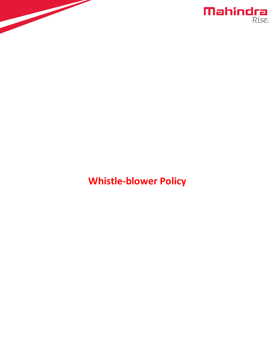



# **Whistle-blower Policy**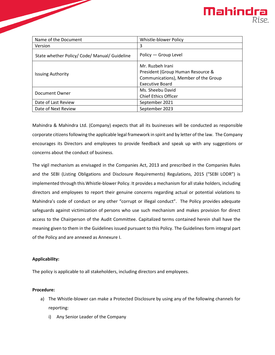

| Name of the Document                       | <b>Whistle-blower Policy</b>                                                                  |
|--------------------------------------------|-----------------------------------------------------------------------------------------------|
| Version                                    | 3                                                                                             |
| State whether Policy/Code/Manual/Guideline | Policy - Group Level                                                                          |
| <b>Issuing Authority</b>                   | Mr. Ruzbeh Irani<br>President (Group Human Resource &<br>Communications), Member of the Group |
|                                            | Executive Board                                                                               |
| Document Owner                             | Ms. Sheebu David                                                                              |
|                                            | <b>Chief Ethics Officer</b>                                                                   |
| Date of Last Review                        | September 2021                                                                                |
| Date of Next Review                        | September 2023                                                                                |

Mahindra & Mahindra Ltd. (Company) expects that all its businesses will be conducted as responsible corporate citizensfollowing the applicable legal framework in spirit and by letter of the law. The Company encourages its Directors and employees to provide feedback and speak up with any suggestions or concerns about the conduct of business.

The vigil mechanism as envisaged in the Companies Act, 2013 and prescribed in the Companies Rules and the SEBI (Listing Obligations and Disclosure Requirements) Regulations, 2015 ("SEBI LODR") is implemented through this Whistle-blower Policy. It provides a mechanism for all stake holders, including directors and employees to report their genuine concerns regarding actual or potential violations to Mahindra's code of conduct or any other "corrupt or illegal conduct". The Policy provides adequate safeguards against victimization of persons who use such mechanism and makes provision for direct access to the Chairperson of the Audit Committee. Capitalized terms contained herein shall have the meaning given to them in the Guidelines issued pursuant to this Policy. The Guidelines form integral part of the Policy and are annexed as Annexure I.

## **Applicability:**

The policy is applicable to all stakeholders, including directors and employees.

#### **Procedure:**

- a) The Whistle-blower can make a Protected Disclosure by using any of the following channels for reporting:
	- i) Any Senior Leader of the Company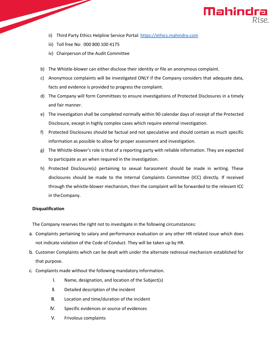

- ii) Third Party Ethics Helpline Service Portal[: https://ethics.mahindra.com](https://ethics.mahindra.com/)
- iii) Toll free No: 000 800 100 4175
- iv) Chairperson of the Audit Committee
- b) The Whistle-blower can either disclose their identity or file an anonymous complaint.
- c) Anonymous complaints will be investigated ONLY if the Company considers that adequate data, facts and evidence is provided to progress the complaint.
- d) The Company will form Committees to ensure investigations of Protected Disclosures in a timely and fair manner.
- e) The investigation shall be completed normally within 90 calendar days of receipt of the Protected Disclosure, except in highly complex cases which require external investigation.
- f) Protected Disclosures should be factual and not speculative and should contain as much specific information as possible to allow for proper assessment and investigation.
- g) The Whistle-blower's role is that of a reporting party with reliable information. They are expected to participate as an when required in the investigation.
- h) Protected Disclosure(s) pertaining to sexual harassment should be made in writing. These disclosures should be made to the Internal Complaints Committee (ICC) directly. If received through the whistle-blower mechanism, then the complaint will be forwarded to the relevant ICC in theCompany.

#### **Disqualification**

The Company reserves the right not to investigate in the following circumstances:

- a. Complaints pertaining to salary and performance evaluation or any other HR related issue which does not indicate violation of the Code of Conduct. They will be taken up by HR.
- b. Customer Complaints which can be dealt with under the alternate redressal mechanism established for that purpose.
- c. Complaints made without the following mandatory information.
	- I. Name, designation, and location of the Subject(s)
	- II. Detailed description of the incident
	- III. Location and time/duration of the incident
	- IV. Specific evidences or source of evidences
	- V. Frivolous complaints